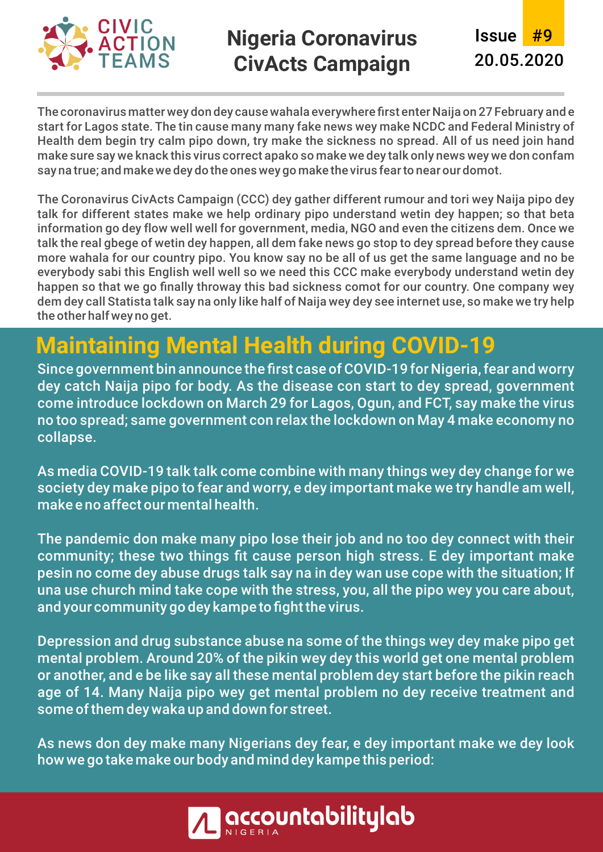

#### **Nigeria Coronavirus CivActs Campaign**



The coronavirus matter wey don dey cause wahala everywhere first enter Naija on 27 February and e start for Lagos state. The tin cause many many fake news wey make NCDC and Federal Ministry of Health dem begin try calm pipo down, try make the sickness no spread. All of us need join hand make sure say we knack this virus correct apako so make we dey talk only news wey we don confam say na true; and make we dey do the ones wey go make the virus fear to near our domot.

The Coronavirus CivActs Campaign (CCC) dey gather different rumour and tori wey Naija pipo dey talk for different states make we help ordinary pipo understand wetin dey happen; so that beta information go dey flow well well for government, media, NGO and even the citizens dem. Once we talk the real gbege of wetin dey happen, all dem fake news go stop to dey spread before they cause more wahala for our country pipo. You know say no be all of us get the same language and no be everybody sabi this English well well so we need this CCC make everybody understand wetin dey happen so that we go finally throway this bad sickness comot for our country. One company wey dem dey call Statista talk say na only like half of Naija wey dey see internet use, so make we try help the other half wey no get.

## **Maintaining Mental Health during COVID-19**

Since government bin announce the first case of COVID-19 for Nigeria, fear and worry dey catch Naija pipo for body. As the disease con start to dey spread, government come introduce lockdown on March 29 for Lagos, Ogun, and FCT, say make the virus no too spread; same government con relax the lockdown on May 4 make economy no collapse.

As media COVID-19 talk talk come combine with many things wey dey change for we society dey make pipo to fear and worry, e dey important make we try handle am well, make e no affect our mental health.

The pandemic don make many pipo lose their job and no too dey connect with their community; these two things fit cause person high stress. E dey important make pesin no come dey abuse drugs talk say na in dey wan use cope with the situation; If una use church mind take cope with the stress, you, all the pipo wey you care about, and your community go dey kampe to fight the virus.

Depression and drug substance abuse na some of the things wey dey make pipo get mental problem. Around 20% of the pikin wey dey this world get one mental problem or another, and e be like say all these mental problem dey start before the pikin reach age of 14. Many Naija pipo wey get mental problem no dey receive treatment and some of them dey waka up and down for street.

As news don dey make many Nigerians dey fear, e dey important make we dey look how we go take make our body and mind dey kampe this period:

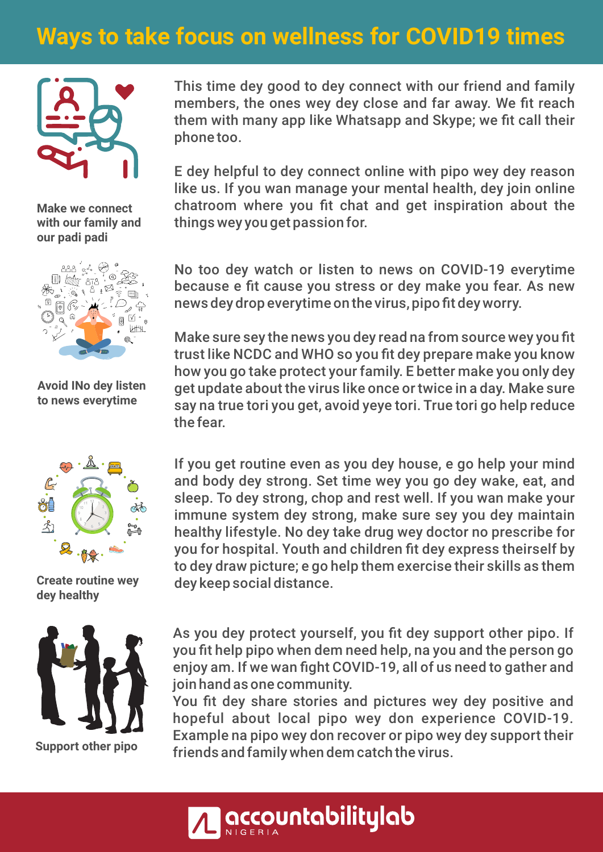# **Ways to take focus on wellness for COVID19 times**



**Make we connect with our family and our padi padi**



**Avoid INo dey listen to news everytime**



**Create routine wey dey healthy** 



This time dey good to dey connect with our friend and family members, the ones wey dey close and far away. We fit reach them with many app like Whatsapp and Skype; we fit call their phone too.

E dey helpful to dey connect online with pipo wey dey reason like us. If you wan manage your mental health, dey join online chatroom where you fit chat and get inspiration about the things wey you get passion for.

No too dey watch or listen to news on COVID-19 everytime because e fit cause you stress or dey make you fear. As new news dey drop everytime on the virus, pipo fit dey worry.

Make sure sey the news you dey read na from source wey you fit trust like NCDC and WHO so you fit dey prepare make you know how you go take protect your family. E better make you only dey get update about the virus like once or twice in a day. Make sure say na true tori you get, avoid yeye tori. True tori go help reduce the fear.

If you get routine even as you dey house, e go help your mind and body dey strong. Set time wey you go dey wake, eat, and sleep. To dey strong, chop and rest well. If you wan make your immune system dey strong, make sure sey you dey maintain healthy lifestyle. No dey take drug wey doctor no prescribe for you for hospital. Youth and children fit dey express theirself by to dey draw picture; e go help them exercise their skills as them dey keep social distance.

As you dey protect yourself, you fit dey support other pipo. If you fit help pipo when dem need help, na you and the person go enjoy am. If we wan fight COVID-19, all of us need to gather and join hand as one community.

You fit dey share stories and pictures wey dey positive and hopeful about local pipo wey don experience COVID-19. Example na pipo wey don recover or pipo wey dey support their friends and family when dem catch the virus.

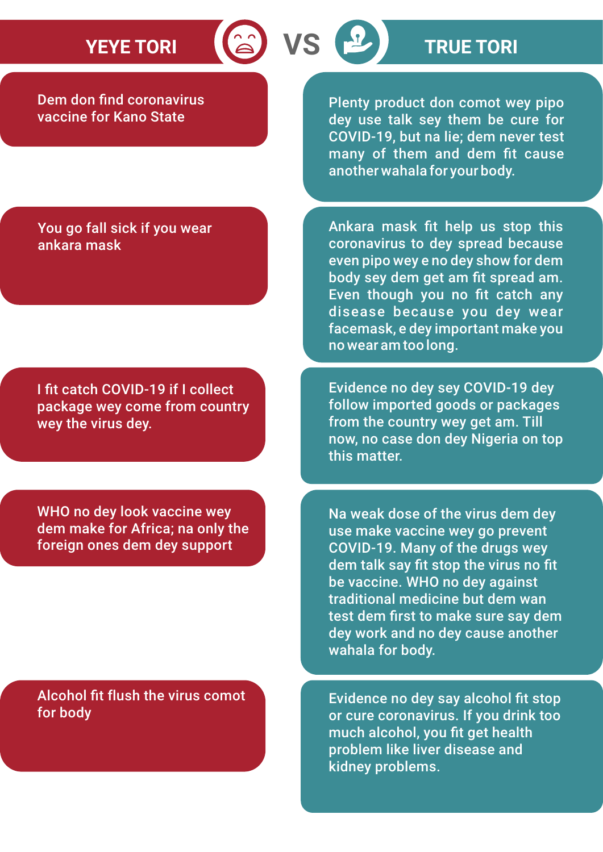### **YEYE TORI ( THE TORICAL STATE TO TRUE TORICAL STATE TO RIGHT**

**VS**

Dem don find coronavirus vaccine for Kano State

Plenty product don comot wey pipo dey use talk sey them be cure for COVID-19, but na lie; dem never test many of them and dem fit cause another wahala for your body.

#### You go fall sick if you wear ankara mask

I fit catch COVID-19 if I collect package wey come from country wey the virus dey.

WHO no dey look vaccine wey dem make for Africa; na only the foreign ones dem dey support

Alcohol fit flush the virus comot for body

Ankara mask fit help us stop this coronavirus to dey spread because even pipo wey e no dey show for dem body sey dem get am fit spread am. Even though you no fit catch any disease because you dey wear facemask, e dey important make you no wear am too long.

Evidence no dey sey COVID-19 dey follow imported goods or packages from the country wey get am. Till now, no case don dey Nigeria on top this matter.

Na weak dose of the virus dem dey use make vaccine wey go prevent COVID-19. Many of the drugs wey dem talk say fit stop the virus no fit be vaccine. WHO no dey against traditional medicine but dem wan test dem first to make sure say dem dey work and no dey cause another wahala for body.

Evidence no dey say alcohol fit stop or cure coronavirus. If you drink too much alcohol, you fit get health problem like liver disease and kidney problems.